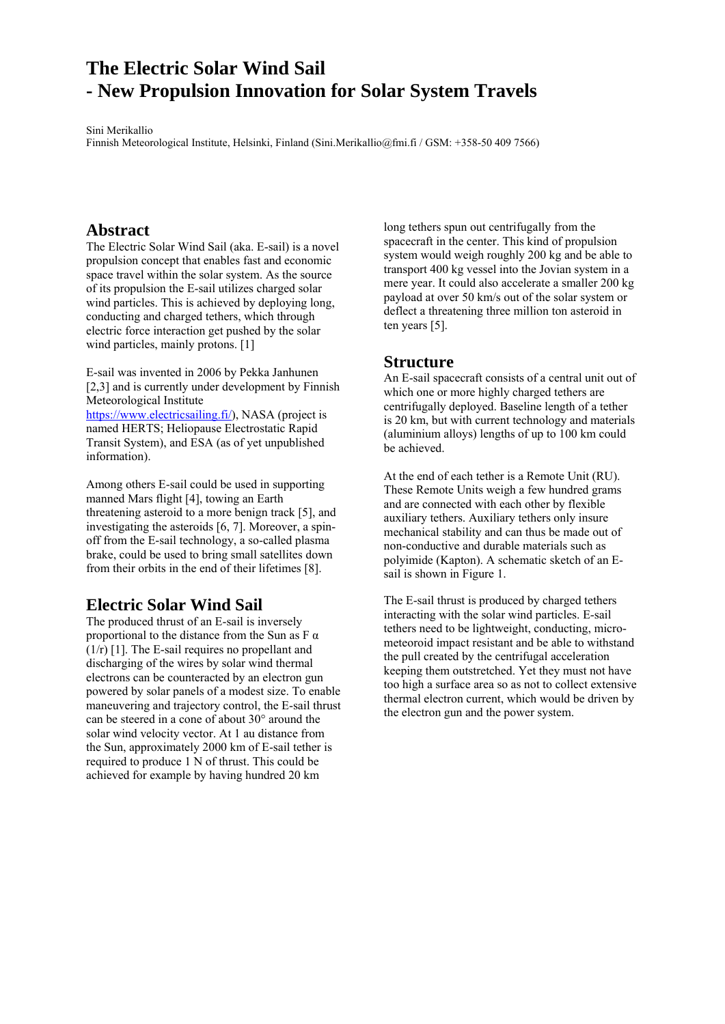# **The Electric Solar Wind Sail - New Propulsion Innovation for Solar System Travels**

Sini Merikallio Finnish Meteorological Institute, Helsinki, Finland (Sini.Merikallio@fmi.fi / GSM: +358-50 409 7566)

## **Abstract**

The Electric Solar Wind Sail (aka. E-sail) is a novel propulsion concept that enables fast and economic space travel within the solar system. As the source of its propulsion the E-sail utilizes charged solar wind particles. This is achieved by deploying long, conducting and charged tethers, which through electric force interaction get pushed by the solar wind particles, mainly protons. [1]

E-sail was invented in 2006 by Pekka Janhunen [2,3] and is currently under development by Finnish Meteorological Institute https://www.electricsailing.fi/), NASA (project is

named HERTS; Heliopause Electrostatic Rapid Transit System), and ESA (as of yet unpublished information).

Among others E-sail could be used in supporting manned Mars flight [4], towing an Earth threatening asteroid to a more benign track [5], and investigating the asteroids [6, 7]. Moreover, a spinoff from the E-sail technology, a so-called plasma brake, could be used to bring small satellites down from their orbits in the end of their lifetimes [8].

# **Electric Solar Wind Sail**

The produced thrust of an E-sail is inversely proportional to the distance from the Sun as  $F \alpha$ (1/r) [1]. The E-sail requires no propellant and discharging of the wires by solar wind thermal electrons can be counteracted by an electron gun powered by solar panels of a modest size. To enable maneuvering and trajectory control, the E-sail thrust can be steered in a cone of about 30° around the solar wind velocity vector. At 1 au distance from the Sun, approximately 2000 km of E-sail tether is required to produce 1 N of thrust. This could be achieved for example by having hundred 20 km

long tethers spun out centrifugally from the spacecraft in the center. This kind of propulsion system would weigh roughly 200 kg and be able to transport 400 kg vessel into the Jovian system in a mere year. It could also accelerate a smaller 200 kg payload at over 50 km/s out of the solar system or deflect a threatening three million ton asteroid in ten years [5].

## **Structure**

An E-sail spacecraft consists of a central unit out of which one or more highly charged tethers are centrifugally deployed. Baseline length of a tether is 20 km, but with current technology and materials (aluminium alloys) lengths of up to 100 km could be achieved.

At the end of each tether is a Remote Unit (RU). These Remote Units weigh a few hundred grams and are connected with each other by flexible auxiliary tethers. Auxiliary tethers only insure mechanical stability and can thus be made out of non-conductive and durable materials such as polyimide (Kapton). A schematic sketch of an Esail is shown in Figure 1.

The E-sail thrust is produced by charged tethers interacting with the solar wind particles. E-sail tethers need to be lightweight, conducting, micrometeoroid impact resistant and be able to withstand the pull created by the centrifugal acceleration keeping them outstretched. Yet they must not have too high a surface area so as not to collect extensive thermal electron current, which would be driven by the electron gun and the power system.